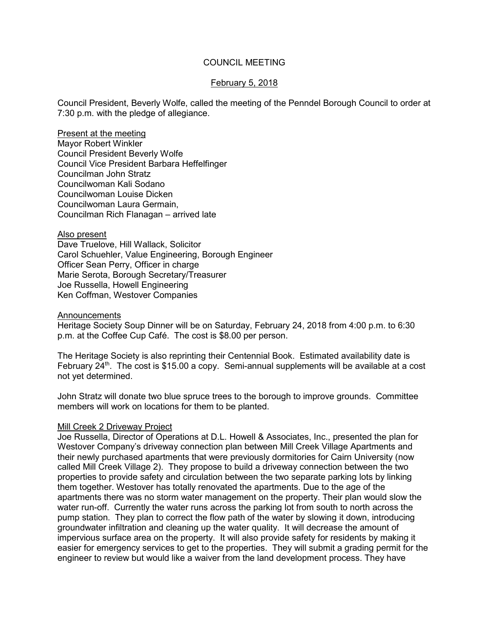## COUNCIL MEETING

### February 5, 2018

Council President, Beverly Wolfe, called the meeting of the Penndel Borough Council to order at 7:30 p.m. with the pledge of allegiance.

Present at the meeting Mayor Robert Winkler Council President Beverly Wolfe Council Vice President Barbara Heffelfinger Councilman John Stratz Councilwoman Kali Sodano Councilwoman Louise Dicken Councilwoman Laura Germain, Councilman Rich Flanagan – arrived late

### Also present

Dave Truelove, Hill Wallack, Solicitor Carol Schuehler, Value Engineering, Borough Engineer Officer Sean Perry, Officer in charge Marie Serota, Borough Secretary/Treasurer Joe Russella, Howell Engineering Ken Coffman, Westover Companies

#### **Announcements**

Heritage Society Soup Dinner will be on Saturday, February 24, 2018 from 4:00 p.m. to 6:30 p.m. at the Coffee Cup Café. The cost is \$8.00 per person.

The Heritage Society is also reprinting their Centennial Book. Estimated availability date is February  $24<sup>th</sup>$ . The cost is \$15.00 a copy. Semi-annual supplements will be available at a cost not yet determined.

John Stratz will donate two blue spruce trees to the borough to improve grounds. Committee members will work on locations for them to be planted.

### Mill Creek 2 Driveway Project

Joe Russella, Director of Operations at D.L. Howell & Associates, Inc., presented the plan for Westover Company's driveway connection plan between Mill Creek Village Apartments and their newly purchased apartments that were previously dormitories for Cairn University (now called Mill Creek Village 2). They propose to build a driveway connection between the two properties to provide safety and circulation between the two separate parking lots by linking them together. Westover has totally renovated the apartments. Due to the age of the apartments there was no storm water management on the property. Their plan would slow the water run-off. Currently the water runs across the parking lot from south to north across the pump station. They plan to correct the flow path of the water by slowing it down, introducing groundwater infiltration and cleaning up the water quality. It will decrease the amount of impervious surface area on the property. It will also provide safety for residents by making it easier for emergency services to get to the properties. They will submit a grading permit for the engineer to review but would like a waiver from the land development process. They have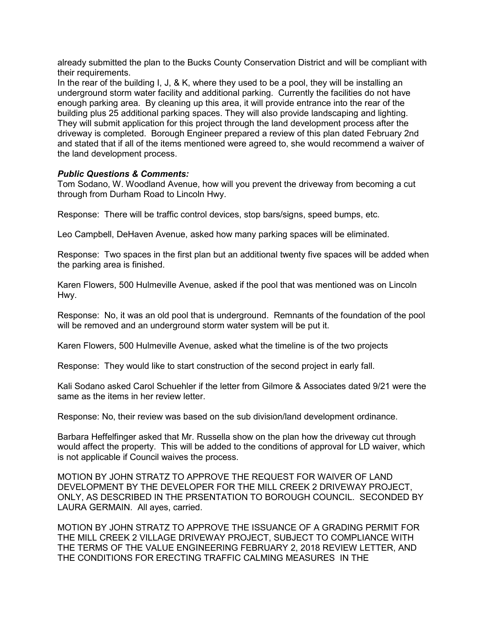already submitted the plan to the Bucks County Conservation District and will be compliant with their requirements.

In the rear of the building I, J, & K, where they used to be a pool, they will be installing an underground storm water facility and additional parking. Currently the facilities do not have enough parking area. By cleaning up this area, it will provide entrance into the rear of the building plus 25 additional parking spaces. They will also provide landscaping and lighting. They will submit application for this project through the land development process after the driveway is completed. Borough Engineer prepared a review of this plan dated February 2nd and stated that if all of the items mentioned were agreed to, she would recommend a waiver of the land development process.

## *Public Questions & Comments:*

Tom Sodano, W. Woodland Avenue, how will you prevent the driveway from becoming a cut through from Durham Road to Lincoln Hwy.

Response: There will be traffic control devices, stop bars/signs, speed bumps, etc.

Leo Campbell, DeHaven Avenue, asked how many parking spaces will be eliminated.

Response: Two spaces in the first plan but an additional twenty five spaces will be added when the parking area is finished.

Karen Flowers, 500 Hulmeville Avenue, asked if the pool that was mentioned was on Lincoln Hwy.

Response: No, it was an old pool that is underground. Remnants of the foundation of the pool will be removed and an underground storm water system will be put it.

Karen Flowers, 500 Hulmeville Avenue, asked what the timeline is of the two projects

Response: They would like to start construction of the second project in early fall.

Kali Sodano asked Carol Schuehler if the letter from Gilmore & Associates dated 9/21 were the same as the items in her review letter.

Response: No, their review was based on the sub division/land development ordinance.

Barbara Heffelfinger asked that Mr. Russella show on the plan how the driveway cut through would affect the property. This will be added to the conditions of approval for LD waiver, which is not applicable if Council waives the process.

MOTION BY JOHN STRATZ TO APPROVE THE REQUEST FOR WAIVER OF LAND DEVELOPMENT BY THE DEVELOPER FOR THE MILL CREEK 2 DRIVEWAY PROJECT, ONLY, AS DESCRIBED IN THE PRSENTATION TO BOROUGH COUNCIL. SECONDED BY LAURA GERMAIN. All ayes, carried.

MOTION BY JOHN STRATZ TO APPROVE THE ISSUANCE OF A GRADING PERMIT FOR THE MILL CREEK 2 VILLAGE DRIVEWAY PROJECT, SUBJECT TO COMPLIANCE WITH THE TERMS OF THE VALUE ENGINEERING FEBRUARY 2, 2018 REVIEW LETTER, AND THE CONDITIONS FOR ERECTING TRAFFIC CALMING MEASURES IN THE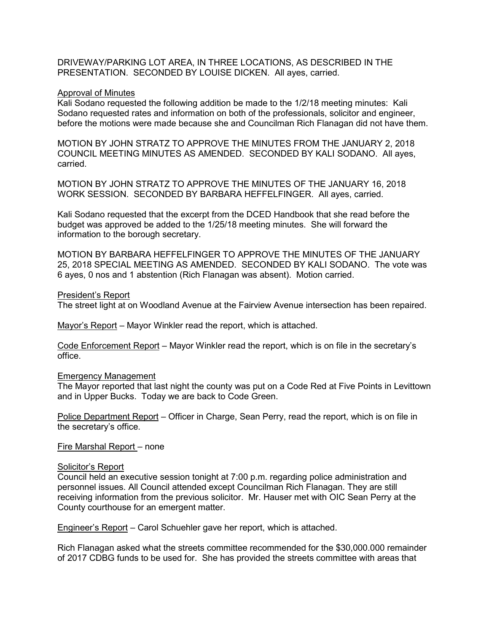DRIVEWAY/PARKING LOT AREA, IN THREE LOCATIONS, AS DESCRIBED IN THE PRESENTATION. SECONDED BY LOUISE DICKEN. All ayes, carried.

#### Approval of Minutes

Kali Sodano requested the following addition be made to the 1/2/18 meeting minutes: Kali Sodano requested rates and information on both of the professionals, solicitor and engineer, before the motions were made because she and Councilman Rich Flanagan did not have them.

MOTION BY JOHN STRATZ TO APPROVE THE MINUTES FROM THE JANUARY 2, 2018 COUNCIL MEETING MINUTES AS AMENDED. SECONDED BY KALI SODANO. All ayes, carried.

MOTION BY JOHN STRATZ TO APPROVE THE MINUTES OF THE JANUARY 16, 2018 WORK SESSION. SECONDED BY BARBARA HEFFELFINGER. All ayes, carried.

Kali Sodano requested that the excerpt from the DCED Handbook that she read before the budget was approved be added to the 1/25/18 meeting minutes. She will forward the information to the borough secretary.

MOTION BY BARBARA HEFFELFINGER TO APPROVE THE MINUTES OF THE JANUARY 25, 2018 SPECIAL MEETING AS AMENDED. SECONDED BY KALI SODANO. The vote was 6 ayes, 0 nos and 1 abstention (Rich Flanagan was absent). Motion carried.

#### President's Report

The street light at on Woodland Avenue at the Fairview Avenue intersection has been repaired.

Mayor's Report – Mayor Winkler read the report, which is attached.

Code Enforcement Report – Mayor Winkler read the report, which is on file in the secretary's office.

### Emergency Management

The Mayor reported that last night the county was put on a Code Red at Five Points in Levittown and in Upper Bucks. Today we are back to Code Green.

Police Department Report – Officer in Charge, Sean Perry, read the report, which is on file in the secretary's office.

Fire Marshal Report – none

#### Solicitor's Report

Council held an executive session tonight at 7:00 p.m. regarding police administration and personnel issues. All Council attended except Councilman Rich Flanagan. They are still receiving information from the previous solicitor. Mr. Hauser met with OIC Sean Perry at the County courthouse for an emergent matter.

Engineer's Report – Carol Schuehler gave her report, which is attached.

Rich Flanagan asked what the streets committee recommended for the \$30,000.000 remainder of 2017 CDBG funds to be used for. She has provided the streets committee with areas that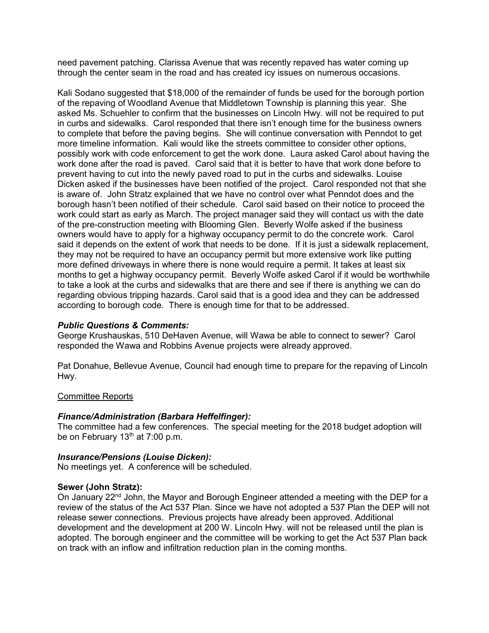need pavement patching. Clarissa Avenue that was recently repaved has water coming up through the center seam in the road and has created icy issues on numerous occasions.

Kali Sodano suggested that \$18,000 of the remainder of funds be used for the borough portion of the repaving of Woodland Avenue that Middletown Township is planning this year. She asked Ms. Schuehler to confirm that the businesses on Lincoln Hwy. will not be required to put in curbs and sidewalks. Carol responded that there isn't enough time for the business owners to complete that before the paving begins. She will continue conversation with Penndot to get more timeline information. Kali would like the streets committee to consider other options, possibly work with code enforcement to get the work done. Laura asked Carol about having the work done after the road is paved. Carol said that it is better to have that work done before to prevent having to cut into the newly paved road to put in the curbs and sidewalks. Louise Dicken asked if the businesses have been notified of the project. Carol responded not that she is aware of. John Stratz explained that we have no control over what Penndot does and the borough hasn't been notified of their schedule. Carol said based on their notice to proceed the work could start as early as March. The project manager said they will contact us with the date of the pre-construction meeting with Blooming Glen. Beverly Wolfe asked if the business owners would have to apply for a highway occupancy permit to do the concrete work. Carol said it depends on the extent of work that needs to be done. If it is just a sidewalk replacement, they may not be required to have an occupancy permit but more extensive work like putting more defined driveways in where there is none would require a permit. It takes at least six months to get a highway occupancy permit. Beverly Wolfe asked Carol if it would be worthwhile to take a look at the curbs and sidewalks that are there and see if there is anything we can do regarding obvious tripping hazards. Carol said that is a good idea and they can be addressed according to borough code. There is enough time for that to be addressed.

# *Public Questions & Comments:*

George Krushauskas, 510 DeHaven Avenue, will Wawa be able to connect to sewer? Carol responded the Wawa and Robbins Avenue projects were already approved.

Pat Donahue, Bellevue Avenue, Council had enough time to prepare for the repaving of Lincoln Hwy.

### Committee Reports

### *Finance/Administration (Barbara Heffelfinger):*

The committee had a few conferences. The special meeting for the 2018 budget adoption will be on February 13<sup>th</sup> at 7:00 p.m.

### *Insurance/Pensions (Louise Dicken):*

No meetings yet. A conference will be scheduled.

### **Sewer (John Stratz):**

On January 22<sup>nd</sup> John, the Mayor and Borough Engineer attended a meeting with the DEP for a review of the status of the Act 537 Plan. Since we have not adopted a 537 Plan the DEP will not release sewer connections. Previous projects have already been approved. Additional development and the development at 200 W. Lincoln Hwy. will not be released until the plan is adopted. The borough engineer and the committee will be working to get the Act 537 Plan back on track with an inflow and infiltration reduction plan in the coming months.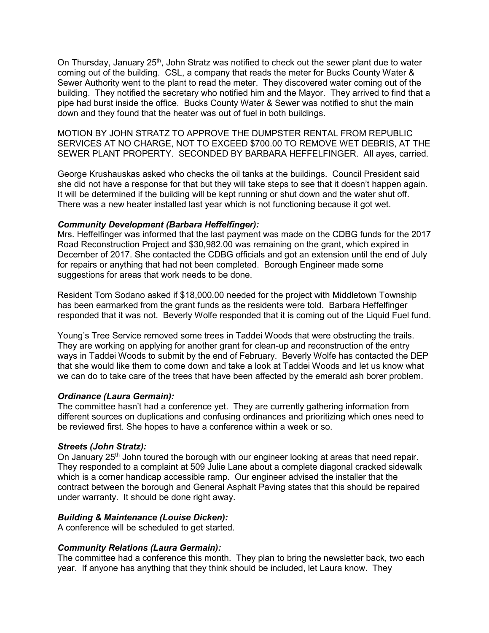On Thursday, January 25<sup>th</sup>, John Stratz was notified to check out the sewer plant due to water coming out of the building. CSL, a company that reads the meter for Bucks County Water & Sewer Authority went to the plant to read the meter. They discovered water coming out of the building. They notified the secretary who notified him and the Mayor. They arrived to find that a pipe had burst inside the office. Bucks County Water & Sewer was notified to shut the main down and they found that the heater was out of fuel in both buildings.

MOTION BY JOHN STRATZ TO APPROVE THE DUMPSTER RENTAL FROM REPUBLIC SERVICES AT NO CHARGE, NOT TO EXCEED \$700.00 TO REMOVE WET DEBRIS, AT THE SEWER PLANT PROPERTY. SECONDED BY BARBARA HEFFELFINGER. All ayes, carried.

George Krushauskas asked who checks the oil tanks at the buildings. Council President said she did not have a response for that but they will take steps to see that it doesn't happen again. It will be determined if the building will be kept running or shut down and the water shut off. There was a new heater installed last year which is not functioning because it got wet.

## *Community Development (Barbara Heffelfinger):*

Mrs. Heffelfinger was informed that the last payment was made on the CDBG funds for the 2017 Road Reconstruction Project and \$30,982.00 was remaining on the grant, which expired in December of 2017. She contacted the CDBG officials and got an extension until the end of July for repairs or anything that had not been completed. Borough Engineer made some suggestions for areas that work needs to be done.

Resident Tom Sodano asked if \$18,000.00 needed for the project with Middletown Township has been earmarked from the grant funds as the residents were told. Barbara Heffelfinger responded that it was not. Beverly Wolfe responded that it is coming out of the Liquid Fuel fund.

Young's Tree Service removed some trees in Taddei Woods that were obstructing the trails. They are working on applying for another grant for clean-up and reconstruction of the entry ways in Taddei Woods to submit by the end of February. Beverly Wolfe has contacted the DEP that she would like them to come down and take a look at Taddei Woods and let us know what we can do to take care of the trees that have been affected by the emerald ash borer problem.

# *Ordinance (Laura Germain):*

The committee hasn't had a conference yet. They are currently gathering information from different sources on duplications and confusing ordinances and prioritizing which ones need to be reviewed first. She hopes to have a conference within a week or so.

# *Streets (John Stratz):*

On January 25<sup>th</sup> John toured the borough with our engineer looking at areas that need repair. They responded to a complaint at 509 Julie Lane about a complete diagonal cracked sidewalk which is a corner handicap accessible ramp. Our engineer advised the installer that the contract between the borough and General Asphalt Paving states that this should be repaired under warranty. It should be done right away.

# *Building & Maintenance (Louise Dicken):*

A conference will be scheduled to get started.

# *Community Relations (Laura Germain):*

The committee had a conference this month. They plan to bring the newsletter back, two each year. If anyone has anything that they think should be included, let Laura know. They